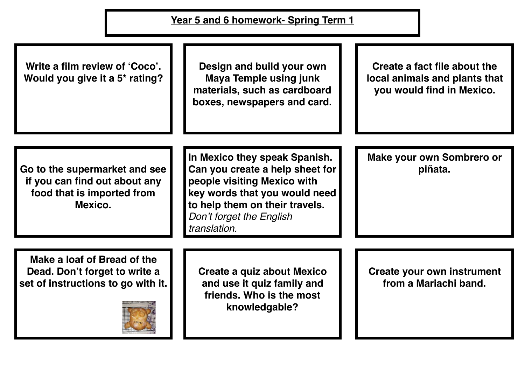| Year 5 and 6 homework- Spring Term 1                                                                    |                                                                                                                                                                                                                |                                                                                            |
|---------------------------------------------------------------------------------------------------------|----------------------------------------------------------------------------------------------------------------------------------------------------------------------------------------------------------------|--------------------------------------------------------------------------------------------|
| Write a film review of 'Coco'.<br>Would you give it a 5 <sup>*</sup> rating?                            | Design and build your own<br><b>Maya Temple using junk</b><br>materials, such as cardboard<br>boxes, newspapers and card.                                                                                      | Create a fact file about the<br>local animals and plants that<br>you would find in Mexico. |
| Go to the supermarket and see<br>if you can find out about any<br>food that is imported from<br>Mexico. | In Mexico they speak Spanish.<br>Can you create a help sheet for<br>people visiting Mexico with<br>key words that you would need<br>to help them on their travels.<br>Don't forget the English<br>translation. | <b>Make your own Sombrero or</b><br>piñata.                                                |
| Make a loaf of Bread of the<br>Dead. Don't forget to write a<br>set of instructions to go with it.      | Create a quiz about Mexico<br>and use it quiz family and<br>friends. Who is the most<br>knowledgable?                                                                                                          | Create your own instrument<br>from a Mariachi band.                                        |